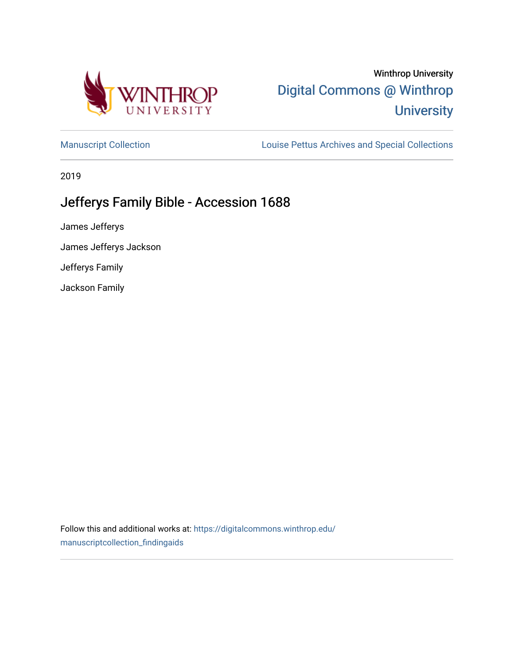

# Winthrop University [Digital Commons @ Winthrop](https://digitalcommons.winthrop.edu/)  **University**

[Manuscript Collection](https://digitalcommons.winthrop.edu/manuscriptcollection_findingaids) **Louise Pettus Archives and Special Collections** 

2019

# Jefferys Family Bible - Accession 1688

James Jefferys

James Jefferys Jackson

Jefferys Family

Jackson Family

Follow this and additional works at: [https://digitalcommons.winthrop.edu/](https://digitalcommons.winthrop.edu/manuscriptcollection_findingaids?utm_source=digitalcommons.winthrop.edu%2Fmanuscriptcollection_findingaids%2F1154&utm_medium=PDF&utm_campaign=PDFCoverPages) [manuscriptcollection\\_findingaids](https://digitalcommons.winthrop.edu/manuscriptcollection_findingaids?utm_source=digitalcommons.winthrop.edu%2Fmanuscriptcollection_findingaids%2F1154&utm_medium=PDF&utm_campaign=PDFCoverPages)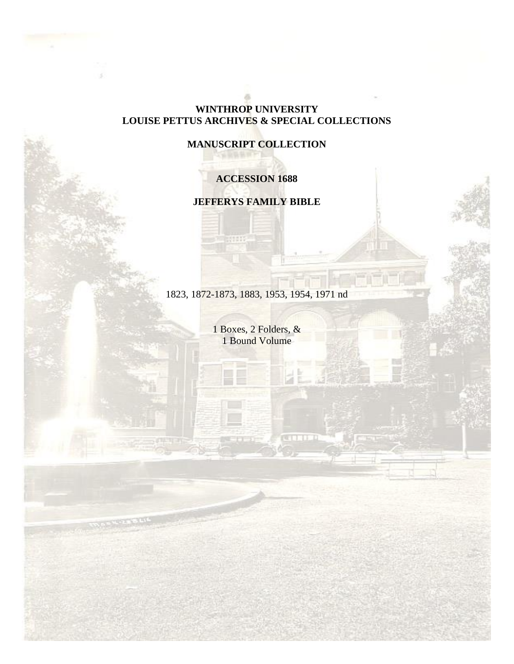# **WINTHROP UNIVERSITY LOUISE PETTUS ARCHIVES & SPECIAL COLLECTIONS**

# **MANUSCRIPT COLLECTION**

# **ACCESSION 1688**

## **JEFFERYS FAMILY BIBLE**

1823, 1872-1873, 1883, 1953, 1954, 1971 nd

1 Boxes, 2 Folders, & 1 Bound Volume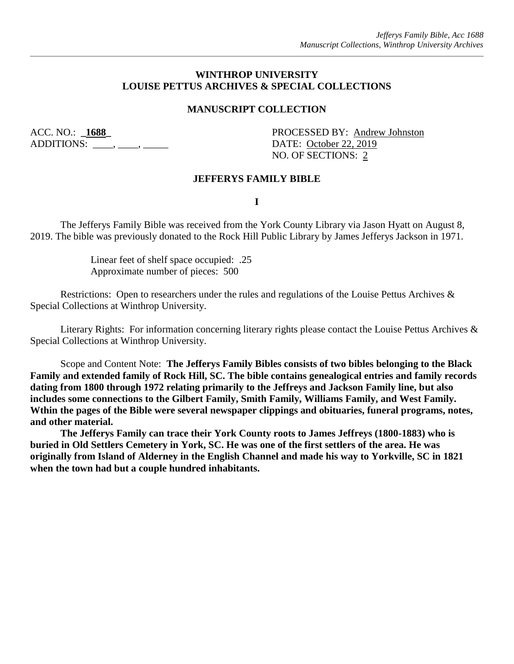#### **WINTHROP UNIVERSITY LOUISE PETTUS ARCHIVES & SPECIAL COLLECTIONS**

### **MANUSCRIPT COLLECTION**

ADDITIONS: \_\_\_\_, \_\_\_\_, \_\_\_\_\_\_ DATE: <u>October 22, 2019</u>

ACC. NO.: **\_1688\_** PROCESSED BY: Andrew Johnston NO. OF SECTIONS: 2

#### **JEFFERYS FAMILY BIBLE**

**I**

The Jefferys Family Bible was received from the York County Library via Jason Hyatt on August 8, 2019. The bible was previously donated to the Rock Hill Public Library by James Jefferys Jackson in 1971.

> Linear feet of shelf space occupied: .25 Approximate number of pieces: 500

Restrictions: Open to researchers under the rules and regulations of the Louise Pettus Archives & Special Collections at Winthrop University.

Literary Rights: For information concerning literary rights please contact the Louise Pettus Archives & Special Collections at Winthrop University.

Scope and Content Note: **The Jefferys Family Bibles consists of two bibles belonging to the Black Family and extended family of Rock Hill, SC. The bible contains genealogical entries and family records dating from 1800 through 1972 relating primarily to the Jeffreys and Jackson Family line, but also includes some connections to the Gilbert Family, Smith Family, Williams Family, and West Family. Wthin the pages of the Bible were several newspaper clippings and obituaries, funeral programs, notes, and other material.**

**The Jefferys Family can trace their York County roots to James Jeffreys (1800-1883) who is buried in Old Settlers Cemetery in York, SC. He was one of the first settlers of the area. He was originally from Island of Alderney in the English Channel and made his way to Yorkville, SC in 1821 when the town had but a couple hundred inhabitants.**